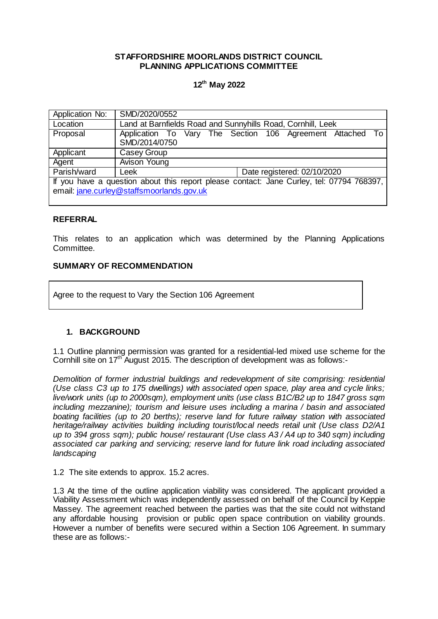## **STAFFORDSHIRE MOORLANDS DISTRICT COUNCIL PLANNING APPLICATIONS COMMITTEE**

# **12th May 2022**

| Application No:                                                                          | SMD/2020/0552                                               |  |  |
|------------------------------------------------------------------------------------------|-------------------------------------------------------------|--|--|
| Location                                                                                 | Land at Barnfields Road and Sunnyhills Road, Cornhill, Leek |  |  |
| Proposal                                                                                 | Application To Vary The Section 106 Agreement Attached To   |  |  |
|                                                                                          | SMD/2014/0750                                               |  |  |
| Applicant                                                                                | Casey Group                                                 |  |  |
| Agent                                                                                    | <b>Avison Young</b>                                         |  |  |
| Parish/ward                                                                              | Date registered: 02/10/2020<br>Leek                         |  |  |
| If you have a question about this report please contact: Jane Curley, tel: 07794 768397, |                                                             |  |  |
| email: jane.curley@staffsmoorlands.gov.uk                                                |                                                             |  |  |
|                                                                                          |                                                             |  |  |

## **REFERRAL**

This relates to an application which was determined by the Planning Applications Committee.

## **SUMMARY OF RECOMMENDATION**

Agree to the request to Vary the Section 106 Agreement

## **1. BACKGROUND**

1.1 Outline planning permission was granted for a residential-led mixed use scheme for the Cornhill site on  $17<sup>th</sup>$  August 2015. The description of development was as follows:-

*Demolition of former industrial buildings and redevelopment of site comprising: residential (Use class C3 up to 175 dwellings) with associated open space, play area and cycle links; live/work units (up to 2000sqm), employment units (use class B1C/B2 up to 1847 gross sqm including mezzanine); tourism and leisure uses including a marina / basin and associated boating facilities (up to 20 berths); reserve land for future railway station with associated heritage/railway activities building including tourist/local needs retail unit (Use class D2/A1 up to 394 gross sqm); public house/ restaurant (Use class A3 / A4 up to 340 sqm) including associated car parking and servicing; reserve land for future link road including associated landscaping*

1.2 The site extends to approx. 15.2 acres.

1.3 At the time of the outline application viability was considered. The applicant provided a Viability Assessment which was independently assessed on behalf of the Council by Keppie Massey. The agreement reached between the parties was that the site could not withstand any affordable housing provision or public open space contribution on viability grounds. However a number of benefits were secured within a Section 106 Agreement. In summary these are as follows:-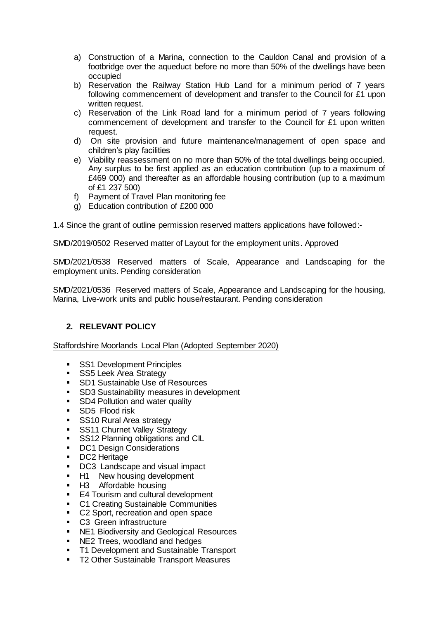- a) Construction of a Marina, connection to the Cauldon Canal and provision of a footbridge over the aqueduct before no more than 50% of the dwellings have been occupied
- b) Reservation the Railway Station Hub Land for a minimum period of 7 years following commencement of development and transfer to the Council for £1 upon written request.
- c) Reservation of the Link Road land for a minimum period of 7 years following commencement of development and transfer to the Council for £1 upon written request.
- d) On site provision and future maintenance/management of open space and children's play facilities
- e) Viability reassessment on no more than 50% of the total dwellings being occupied. Any surplus to be first applied as an education contribution (up to a maximum of £469 000) and thereafter as an affordable housing contribution (up to a maximum of £1 237 500)
- f) Payment of Travel Plan monitoring fee
- g) Education contribution of £200 000

1.4 Since the grant of outline permission reserved matters applications have followed:-

SMD/2019/0502 Reserved matter of Layout for the employment units. Approved

SMD/2021/0538 Reserved matters of Scale, Appearance and Landscaping for the employment units. Pending consideration

SMD/2021/0536 Reserved matters of Scale, Appearance and Landscaping for the housing, Marina, Live-work units and public house/restaurant. Pending consideration

# **2. RELEVANT POLICY**

Staffordshire Moorlands Local Plan (Adopted September 2020)

- **SS1 Development Principles**
- SS5 Leek Area Strategy
- **SD1 Sustainable Use of Resources**
- **SD3 Sustainability measures in development**
- SD4 Pollution and water quality
- SD5 Flood risk
- **SS10 Rural Area strategy**
- **SS11 Churnet Valley Strategy**
- **SS12 Planning obligations and CIL**
- **DC1 Design Considerations**
- DC2 Heritage
- **DC3** Landscape and visual impact
- **H1** New housing development
- **H3** Affordable housing
- E4 Tourism and cultural development
- **C1 Creating Sustainable Communities**
- C2 Sport, recreation and open space
- **C3** Green infrastructure
- **NE1 Biodiversity and Geological Resources**
- **NE2 Trees, woodland and hedges**
- **T1 Development and Sustainable Transport**
- T2 Other Sustainable Transport Measures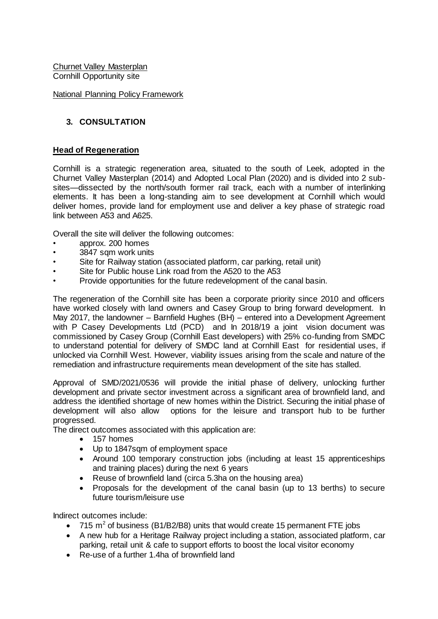Churnet Valley Masterplan Cornhill Opportunity site

## National Planning Policy Framework

# **3. CONSULTATION**

## **Head of Regeneration**

Cornhill is a strategic regeneration area, situated to the south of Leek, adopted in the Churnet Valley Masterplan (2014) and Adopted Local Plan (2020) and is divided into 2 subsites—dissected by the north/south former rail track, each with a number of interlinking elements. It has been a long-standing aim to see development at Cornhill which would deliver homes, provide land for employment use and deliver a key phase of strategic road link between A53 and A625.

Overall the site will deliver the following outcomes:

- approx. 200 homes
- 3847 sqm work units
- Site for Railway station (associated platform, car parking, retail unit)
- Site for Public house Link road from the A520 to the A53
- Provide opportunities for the future redevelopment of the canal basin.

The regeneration of the Cornhill site has been a corporate priority since 2010 and officers have worked closely with land owners and Casey Group to bring forward development. In May 2017, the landowner – Barnfield Hughes (BH) – entered into a Development Agreement with P Casey Developments Ltd (PCD) and In 2018/19 a joint vision document was commissioned by Casey Group (Cornhill East developers) with 25% co-funding from SMDC to understand potential for delivery of SMDC land at Cornhill East for residential uses, if unlocked via Cornhill West. However, viability issues arising from the scale and nature of the remediation and infrastructure requirements mean development of the site has stalled.

Approval of SMD/2021/0536 will provide the initial phase of delivery, unlocking further development and private sector investment across a significant area of brownfield land, and address the identified shortage of new homes within the District. Securing the initial phase of development will also allow options for the leisure and transport hub to be further progressed.

The direct outcomes associated with this application are:

- 157 homes
- Up to 1847sqm of employment space
- Around 100 temporary construction jobs (including at least 15 apprenticeships and training places) during the next 6 years
- Reuse of brownfield land (circa 5.3ha on the housing area)
- Proposals for the development of the canal basin (up to 13 berths) to secure future tourism/leisure use

Indirect outcomes include:

- 715 m<sup>2</sup> of business (B1/B2/B8) units that would create 15 permanent FTE jobs
- A new hub for a Heritage Railway project including a station, associated platform, car parking, retail unit & cafe to support efforts to boost the local visitor economy
- Re-use of a further 1.4ha of brownfield land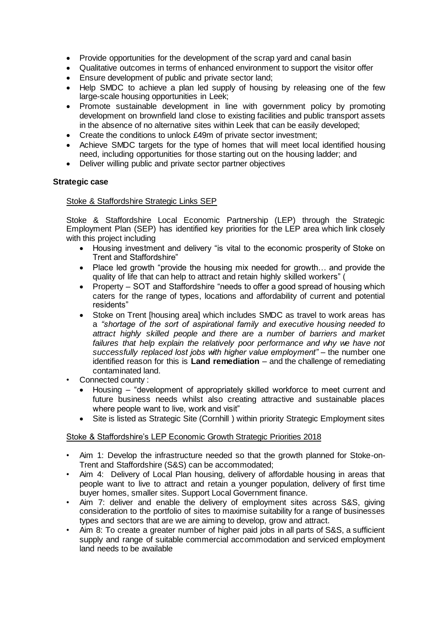- Provide opportunities for the development of the scrap yard and canal basin
- Qualitative outcomes in terms of enhanced environment to support the visitor offer
- Ensure development of public and private sector land;
- Help SMDC to achieve a plan led supply of housing by releasing one of the few large-scale housing opportunities in Leek;
- Promote sustainable development in line with government policy by promoting development on brownfield land close to existing facilities and public transport assets in the absence of no alternative sites within Leek that can be easily developed;
- Create the conditions to unlock £49m of private sector investment;
- Achieve SMDC targets for the type of homes that will meet local identified housing need, including opportunities for those starting out on the housing ladder; and
- Deliver willing public and private sector partner objectives

## **Strategic case**

## Stoke & Staffordshire Strategic Links SEP

Stoke & Staffordshire Local Economic Partnership (LEP) through the Strategic Employment Plan (SEP) has identified key priorities for the LEP area which link closely with this project including

- Housing investment and delivery "is vital to the economic prosperity of Stoke on Trent and Staffordshire"
- Place led growth "provide the housing mix needed for growth... and provide the quality of life that can help to attract and retain highly skilled workers" (
- Property SOT and Staffordshire "needs to offer a good spread of housing which caters for the range of types, locations and affordability of current and potential residents"
- Stoke on Trent [housing area] which includes SMDC as travel to work areas has a *"shortage of the sort of aspirational family and executive housing needed to attract highly skilled people and there are a number of barriers and market*  failures that help explain the relatively poor performance and why we have not *successfully replaced lost jobs with higher value employment"* – the number one identified reason for this is **Land remediation** – and the challenge of remediating contaminated land.
- Connected county :
	- Housing "development of appropriately skilled workforce to meet current and future business needs whilst also creating attractive and sustainable places where people want to live, work and visit"
	- Site is listed as Strategic Site (Cornhill ) within priority Strategic Employment sites

## Stoke & Staffordshire's LEP Economic Growth Strategic Priorities 2018

- Aim 1: Develop the infrastructure needed so that the growth planned for Stoke-on-Trent and Staffordshire (S&S) can be accommodated;
- Aim 4: Delivery of Local Plan housing, delivery of affordable housing in areas that people want to live to attract and retain a younger population, delivery of first time buyer homes, smaller sites. Support Local Government finance.
- Aim 7: deliver and enable the delivery of employment sites across S&S, giving consideration to the portfolio of sites to maximise suitability for a range of businesses types and sectors that are we are aiming to develop, grow and attract.
- Aim 8: To create a greater number of higher paid jobs in all parts of S&S, a sufficient supply and range of suitable commercial accommodation and serviced employment land needs to be available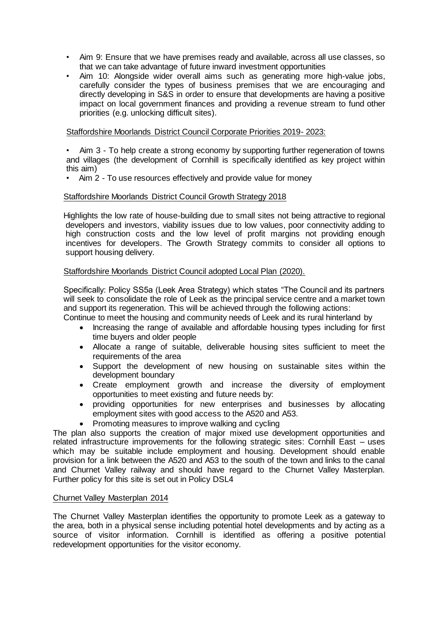- Aim 9: Ensure that we have premises ready and available, across all use classes, so that we can take advantage of future inward investment opportunities
- Aim 10: Alongside wider overall aims such as generating more high-value jobs, carefully consider the types of business premises that we are encouraging and directly developing in S&S in order to ensure that developments are having a positive impact on local government finances and providing a revenue stream to fund other priorities (e.g. unlocking difficult sites).

## Staffordshire Moorlands District Council Corporate Priorities 2019- 2023:

• Aim 3 - To help create a strong economy by supporting further regeneration of towns and villages (the development of Cornhill is specifically identified as key project within this aim)

• Aim 2 - To use resources effectively and provide value for money

## Staffordshire Moorlands District Council Growth Strategy 2018

Highlights the low rate of house-building due to small sites not being attractive to regional developers and investors, viability issues due to low values, poor connectivity adding to high construction costs and the low level of profit margins not providing enough incentives for developers. The Growth Strategy commits to consider all options to support housing delivery.

## Staffordshire Moorlands District Council adopted Local Plan (2020).

Specifically: Policy SS5a (Leek Area Strategy) which states "The Council and its partners will seek to consolidate the role of Leek as the principal service centre and a market town and support its regeneration. This will be achieved through the following actions:

Continue to meet the housing and community needs of Leek and its rural hinterland by

- Increasing the range of available and affordable housing types including for first time buyers and older people
- Allocate a range of suitable, deliverable housing sites sufficient to meet the requirements of the area
- Support the development of new housing on sustainable sites within the development boundary
- Create employment growth and increase the diversity of employment opportunities to meet existing and future needs by:
- providing opportunities for new enterprises and businesses by allocating employment sites with good access to the A520 and A53.
- Promoting measures to improve walking and cycling

The plan also supports the creation of major mixed use development opportunities and related infrastructure improvements for the following strategic sites: Cornhill East – uses which may be suitable include employment and housing. Development should enable provision for a link between the A520 and A53 to the south of the town and links to the canal and Churnet Valley railway and should have regard to the Churnet Valley Masterplan. Further policy for this site is set out in Policy DSL4

#### Churnet Valley Masterplan 2014

The Churnet Valley Masterplan identifies the opportunity to promote Leek as a gateway to the area, both in a physical sense including potential hotel developments and by acting as a source of visitor information. Cornhill is identified as offering a positive potential redevelopment opportunities for the visitor economy.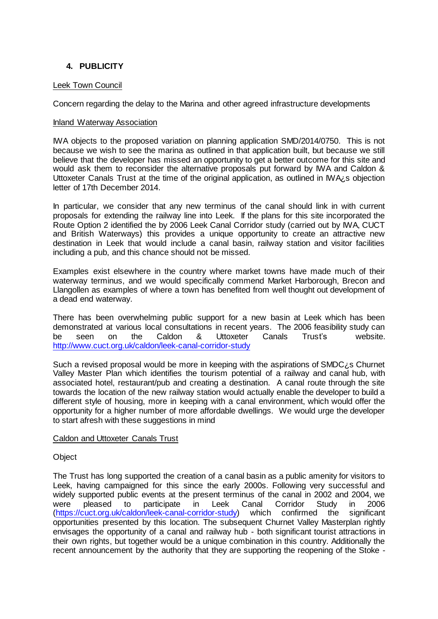# **4. PUBLICITY**

## Leek Town Council

Concern regarding the delay to the Marina and other agreed infrastructure developments

#### Inland Waterway Association

IWA objects to the proposed variation on planning application SMD/2014/0750. This is not because we wish to see the marina as outlined in that application built, but because we still believe that the developer has missed an opportunity to get a better outcome for this site and would ask them to reconsider the alternative proposals put forward by IWA and Caldon & Uttoxeter Canals Trust at the time of the original application, as outlined in IWA<sub>i</sub>, s objection letter of 17th December 2014.

In particular, we consider that any new terminus of the canal should link in with current proposals for extending the railway line into Leek. If the plans for this site incorporated the Route Option 2 identified the by 2006 Leek Canal Corridor study (carried out by IWA, CUCT and British Waterways) this provides a unique opportunity to create an attractive new destination in Leek that would include a canal basin, railway station and visitor facilities including a pub, and this chance should not be missed.

Examples exist elsewhere in the country where market towns have made much of their waterway terminus, and we would specifically commend Market Harborough, Brecon and Llangollen as examples of where a town has benefited from well thought out development of a dead end waterway.

There has been overwhelming public support for a new basin at Leek which has been demonstrated at various local consultations in recent years. The 2006 feasibility study can be seen on the Caldon & Uttoxeter Canals Trust's website. <http://www.cuct.org.uk/caldon/leek-canal-corridor-study>

Such a revised proposal would be more in keeping with the aspirations of SMDC¿s Churnet Valley Master Plan which identifies the tourism potential of a railway and canal hub, with associated hotel, restaurant/pub and creating a destination. A canal route through the site towards the location of the new railway station would actually enable the developer to build a different style of housing, more in keeping with a canal environment, which would offer the opportunity for a higher number of more affordable dwellings. We would urge the developer to start afresh with these suggestions in mind

#### Caldon and Uttoxeter Canals Trust

#### **Object**

The Trust has long supported the creation of a canal basin as a public amenity for visitors to Leek, having campaigned for this since the early 2000s. Following very successful and widely supported public events at the present terminus of the canal in 2002 and 2004, we were pleased to participate in Leek Canal Corridor Study in 2006 [\(https://cuct.org.uk/caldon/leek-canal-corridor-study\)](https://cuct.org.uk/caldon/leek-canal-corridor-study) which confirmed the significant opportunities presented by this location. The subsequent Churnet Valley Masterplan rightly envisages the opportunity of a canal and railway hub - both significant tourist attractions in their own rights, but together would be a unique combination in this country. Additionally the recent announcement by the authority that they are supporting the reopening of the Stoke -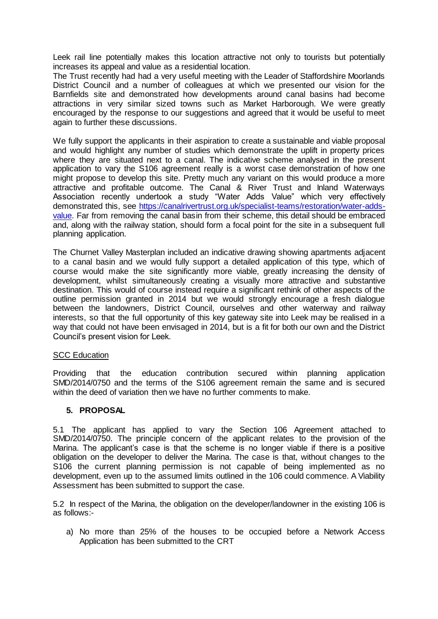Leek rail line potentially makes this location attractive not only to tourists but potentially increases its appeal and value as a residential location.

The Trust recently had had a very useful meeting with the Leader of Staffordshire Moorlands District Council and a number of colleagues at which we presented our vision for the Barnfields site and demonstrated how developments around canal basins had become attractions in very similar sized towns such as Market Harborough. We were greatly encouraged by the response to our suggestions and agreed that it would be useful to meet again to further these discussions.

We fully support the applicants in their aspiration to create a sustainable and viable proposal and would highlight any number of studies which demonstrate the uplift in property prices where they are situated next to a canal. The indicative scheme analysed in the present application to vary the S106 agreement really is a worst case demonstration of how one might propose to develop this site. Pretty much any variant on this would produce a more attractive and profitable outcome. The Canal & River Trust and Inland Waterways Association recently undertook a study "Water Adds Value" which very effectively demonstrated this, see [https://canalrivertrust.org.uk/specialist-teams/restoration/water-adds](https://canalrivertrust.org.uk/specialist-teams/restoration/water-adds-value)[value.](https://canalrivertrust.org.uk/specialist-teams/restoration/water-adds-value) Far from removing the canal basin from their scheme, this detail should be embraced and, along with the railway station, should form a focal point for the site in a subsequent full planning application.

The Churnet Valley Masterplan included an indicative drawing showing apartments adjacent to a canal basin and we would fully support a detailed application of this type, which of course would make the site significantly more viable, greatly increasing the density of development, whilst simultaneously creating a visually more attractive and substantive destination. This would of course instead require a significant rethink of other aspects of the outline permission granted in 2014 but we would strongly encourage a fresh dialogue between the landowners, District Council, ourselves and other waterway and railway interests, so that the full opportunity of this key gateway site into Leek may be realised in a way that could not have been envisaged in 2014, but is a fit for both our own and the District Council's present vision for Leek.

#### **SCC Education**

Providing that the education contribution secured within planning application SMD/2014/0750 and the terms of the S106 agreement remain the same and is secured within the deed of variation then we have no further comments to make.

## **5. PROPOSAL**

5.1 The applicant has applied to vary the Section 106 Agreement attached to SMD/2014/0750. The principle concern of the applicant relates to the provision of the Marina. The applicant's case is that the scheme is no longer viable if there is a positive obligation on the developer to deliver the Marina. The case is that, without changes to the S106 the current planning permission is not capable of being implemented as no development, even up to the assumed limits outlined in the 106 could commence. A Viability Assessment has been submitted to support the case.

5.2 In respect of the Marina, the obligation on the developer/landowner in the existing 106 is as follows:-

a) No more than 25% of the houses to be occupied before a Network Access Application has been submitted to the CRT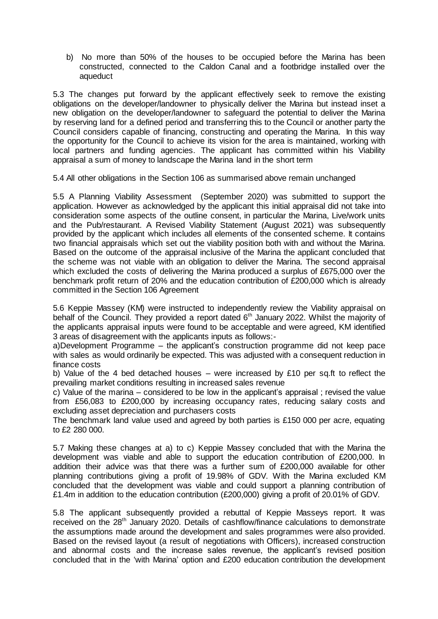b) No more than 50% of the houses to be occupied before the Marina has been constructed, connected to the Caldon Canal and a footbridge installed over the aqueduct

5.3 The changes put forward by the applicant effectively seek to remove the existing obligations on the developer/landowner to physically deliver the Marina but instead inset a new obligation on the developer/landowner to safeguard the potential to deliver the Marina by reserving land for a defined period and transferring this to the Council or another party the Council considers capable of financing, constructing and operating the Marina. In this way the opportunity for the Council to achieve its vision for the area is maintained, working with local partners and funding agencies. The applicant has committed within his Viability appraisal a sum of money to landscape the Marina land in the short term

5.4 All other obligations in the Section 106 as summarised above remain unchanged

5.5 A Planning Viability Assessment (September 2020) was submitted to support the application. However as acknowledged by the applicant this initial appraisal did not take into consideration some aspects of the outline consent, in particular the Marina, Live/work units and the Pub/restaurant. A Revised Viability Statement (August 2021) was subsequently provided by the applicant which includes all elements of the consented scheme. It contains two financial appraisals which set out the viability position both with and without the Marina. Based on the outcome of the appraisal inclusive of the Marina the applicant concluded that the scheme was not viable with an obligation to deliver the Marina. The second appraisal which excluded the costs of delivering the Marina produced a surplus of £675,000 over the benchmark profit return of 20% and the education contribution of £200,000 which is already committed in the Section 106 Agreement

5.6 Keppie Massey (KM) were instructed to independently review the Viability appraisal on behalf of the Council. They provided a report dated 6<sup>th</sup> January 2022. Whilst the majority of the applicants appraisal inputs were found to be acceptable and were agreed, KM identified 3 areas of disagreement with the applicants inputs as follows:-

a)Development Programme – the applicant's construction programme did not keep pace with sales as would ordinarily be expected. This was adjusted with a consequent reduction in finance costs

b) Value of the 4 bed detached houses – were increased by £10 per sq.ft to reflect the prevailing market conditions resulting in increased sales revenue

c) Value of the marina – considered to be low in the applicant's appraisal ; revised the value from £56,083 to £200,000 by increasing occupancy rates, reducing salary costs and excluding asset depreciation and purchasers costs

The benchmark land value used and agreed by both parties is £150 000 per acre, equating to £2 280 000.

5.7 Making these changes at a) to c) Keppie Massey concluded that with the Marina the development was viable and able to support the education contribution of £200,000. In addition their advice was that there was a further sum of £200,000 available for other planning contributions giving a profit of 19.98% of GDV. With the Marina excluded KM concluded that the development was viable and could support a planning contribution of £1.4m in addition to the education contribution (£200,000) giving a profit of 20.01% of GDV.

5.8 The applicant subsequently provided a rebuttal of Keppie Masseys report. It was received on the 28<sup>th</sup> January 2020. Details of cashflow/finance calculations to demonstrate the assumptions made around the development and sales programmes were also provided. Based on the revised layout (a result of negotiations with Officers), increased construction and abnormal costs and the increase sales revenue, the applicant's revised position concluded that in the 'with Marina' option and £200 education contribution the development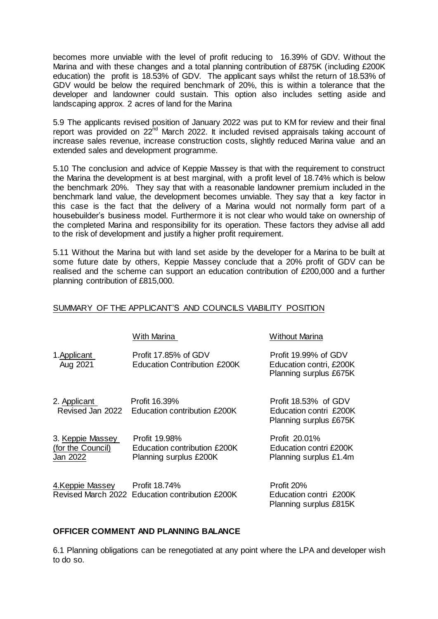becomes more unviable with the level of profit reducing to 16.39% of GDV. Without the Marina and with these changes and a total planning contribution of £875K (including £200K education) the profit is 18.53% of GDV. The applicant says whilst the return of 18.53% of GDV would be below the required benchmark of 20%, this is within a tolerance that the developer and landowner could sustain. This option also includes setting aside and landscaping approx. 2 acres of land for the Marina

5.9 The applicants revised position of January 2022 was put to KM for review and their final report was provided on 22<sup>nd</sup> March 2022. It included revised appraisals taking account of increase sales revenue, increase construction costs, slightly reduced Marina value and an extended sales and development programme.

5.10 The conclusion and advice of Keppie Massey is that with the requirement to construct the Marina the development is at best marginal, with a profit level of 18.74% which is below the benchmark 20%. They say that with a reasonable landowner premium included in the benchmark land value, the development becomes unviable. They say that a key factor in this case is the fact that the delivery of a Marina would not normally form part of a housebuilder's business model. Furthermore it is not clear who would take on ownership of the completed Marina and responsibility for its operation. These factors they advise all add to the risk of development and justify a higher profit requirement.

5.11 Without the Marina but with land set aside by the developer for a Marina to be built at some future date by others, Keppie Massey conclude that a 20% profit of GDV can be realised and the scheme can support an education contribution of £200,000 and a further planning contribution of £815,000.

# SUMMARY OF THE APPLICANT'S AND COUNCILS VIABILITY POSITION

|                                                   | <b>With Marina</b>                                                      | <b>Without Marina</b>                                                     |
|---------------------------------------------------|-------------------------------------------------------------------------|---------------------------------------------------------------------------|
| 1. Applicant<br>Aug 2021                          | Profit 17.85% of GDV<br><b>Education Contribution £200K</b>             | Profit 19.99% of GDV<br>Education contri, £200K<br>Planning surplus £675K |
| 2. Applicant<br>Revised Jan 2022                  | Profit 16.39%<br>Education contribution £200K                           | Profit 18.53% of GDV<br>Education contri £200K<br>Planning surplus £675K  |
| 3. Keppie Massey<br>(for the Council)<br>Jan 2022 | Profit 19.98%<br>Education contribution £200K<br>Planning surplus £200K | Profit 20.01%<br>Education contri £200K<br>Planning surplus £1.4m         |
| 4.Keppie Massey                                   | Profit 18.74%<br>Revised March 2022 Education contribution £200K        | Profit 20%<br>Education contri £200K                                      |

## **OFFICER COMMENT AND PLANNING BALANCE**

6.1 Planning obligations can be renegotiated at any point where the LPA and developer wish to do so.

Planning surplus £815K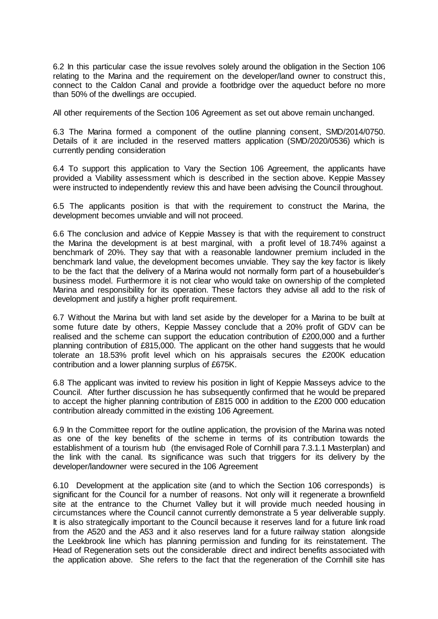6.2 In this particular case the issue revolves solely around the obligation in the Section 106 relating to the Marina and the requirement on the developer/land owner to construct this, connect to the Caldon Canal and provide a footbridge over the aqueduct before no more than 50% of the dwellings are occupied.

All other requirements of the Section 106 Agreement as set out above remain unchanged.

6.3 The Marina formed a component of the outline planning consent, SMD/2014/0750. Details of it are included in the reserved matters application (SMD/2020/0536) which is currently pending consideration

6.4 To support this application to Vary the Section 106 Agreement, the applicants have provided a Viability assessment which is described in the section above. Keppie Massey were instructed to independently review this and have been advising the Council throughout.

6.5 The applicants position is that with the requirement to construct the Marina, the development becomes unviable and will not proceed.

6.6 The conclusion and advice of Keppie Massey is that with the requirement to construct the Marina the development is at best marginal, with a profit level of 18.74% against a benchmark of 20%. They say that with a reasonable landowner premium included in the benchmark land value, the development becomes unviable. They say the key factor is likely to be the fact that the delivery of a Marina would not normally form part of a housebuilder's business model. Furthermore it is not clear who would take on ownership of the completed Marina and responsibility for its operation. These factors they advise all add to the risk of development and justify a higher profit requirement.

6.7 Without the Marina but with land set aside by the developer for a Marina to be built at some future date by others, Keppie Massey conclude that a 20% profit of GDV can be realised and the scheme can support the education contribution of £200,000 and a further planning contribution of £815,000. The applicant on the other hand suggests that he would tolerate an 18.53% profit level which on his appraisals secures the £200K education contribution and a lower planning surplus of £675K.

6.8 The applicant was invited to review his position in light of Keppie Masseys advice to the Council. After further discussion he has subsequently confirmed that he would be prepared to accept the higher planning contribution of £815 000 in addition to the £200 000 education contribution already committed in the existing 106 Agreement.

6.9 In the Committee report for the outline application, the provision of the Marina was noted as one of the key benefits of the scheme in terms of its contribution towards the establishment of a tourism hub (the envisaged Role of Cornhill para 7.3.1.1 Masterplan) and the link with the canal. Its significance was such that triggers for its delivery by the developer/landowner were secured in the 106 Agreement

6.10 Development at the application site (and to which the Section 106 corresponds) is significant for the Council for a number of reasons. Not only will it regenerate a brownfield site at the entrance to the Churnet Valley but it will provide much needed housing in circumstances where the Council cannot currently demonstrate a 5 year deliverable supply. It is also strategically important to the Council because it reserves land for a future link road from the A520 and the A53 and it also reserves land for a future railway station alongside the Leekbrook line which has planning permission and funding for its reinstatement. The Head of Regeneration sets out the considerable direct and indirect benefits associated with the application above. She refers to the fact that the regeneration of the Cornhill site has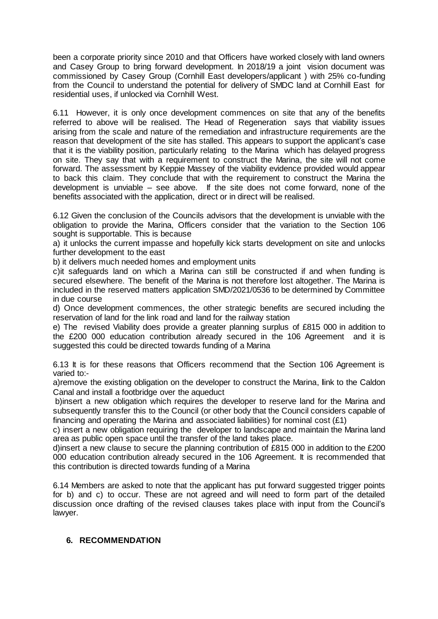been a corporate priority since 2010 and that Officers have worked closely with land owners and Casey Group to bring forward development. In 2018/19 a joint vision document was commissioned by Casey Group (Cornhill East developers/applicant ) with 25% co-funding from the Council to understand the potential for delivery of SMDC land at Cornhill East for residential uses, if unlocked via Cornhill West.

6.11 However, it is only once development commences on site that any of the benefits referred to above will be realised. The Head of Regeneration says that viability issues arising from the scale and nature of the remediation and infrastructure requirements are the reason that development of the site has stalled. This appears to support the applicant's case that it is the viability position, particularly relating to the Marina which has delayed progress on site. They say that with a requirement to construct the Marina, the site will not come forward. The assessment by Keppie Massey of the viability evidence provided would appear to back this claim. They conclude that with the requirement to construct the Marina the development is unviable – see above. If the site does not come forward, none of the benefits associated with the application, direct or in direct will be realised.

6.12 Given the conclusion of the Councils advisors that the development is unviable with the obligation to provide the Marina, Officers consider that the variation to the Section 106 sought is supportable. This is because

a) it unlocks the current impasse and hopefully kick starts development on site and unlocks further development to the east

b) it delivers much needed homes and employment units

c)it safeguards land on which a Marina can still be constructed if and when funding is secured elsewhere. The benefit of the Marina is not therefore lost altogether. The Marina is included in the reserved matters application SMD/2021/0536 to be determined by Committee in due course

d) Once development commences, the other strategic benefits are secured including the reservation of land for the link road and land for the railway station

e) The revised Viability does provide a greater planning surplus of £815 000 in addition to the £200 000 education contribution already secured in the 106 Agreement and it is suggested this could be directed towards funding of a Marina

6.13 It is for these reasons that Officers recommend that the Section 106 Agreement is varied to:-

a)remove the existing obligation on the developer to construct the Marina, **l**ink to the Caldon Canal and install a footbridge over the aqueduct

b)insert a new obligation which requires the developer to reserve land for the Marina and subsequently transfer this to the Council (or other body that the Council considers capable of financing and operating the Marina and associated liabilities) for nominal cost  $(E1)$ 

c) insert a new obligation requiring the developer to landscape and maintain the Marina land area as public open space until the transfer of the land takes place.

d)insert a new clause to secure the planning contribution of £815 000 in addition to the £200 000 education contribution already secured in the 106 Agreement. It is recommended that this contribution is directed towards funding of a Marina

6.14 Members are asked to note that the applicant has put forward suggested trigger points for b) and c) to occur. These are not agreed and will need to form part of the detailed discussion once drafting of the revised clauses takes place with input from the Council's lawyer.

## **6. RECOMMENDATION**